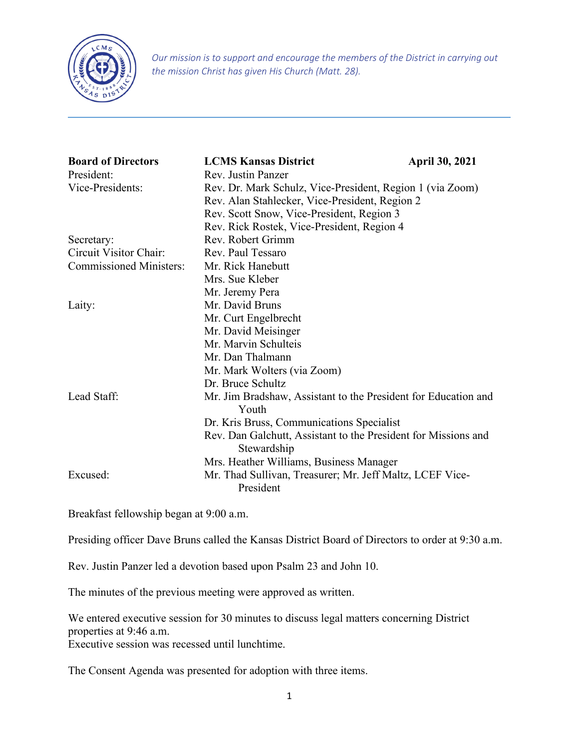

*Our mission is to support and encourage the members of the District in carrying out the mission Christ has given His Church (Matt. 28).*

| <b>Board of Directors</b>      | <b>LCMS Kansas District</b>                                                   | <b>April 30, 2021</b> |  |
|--------------------------------|-------------------------------------------------------------------------------|-----------------------|--|
| President:                     | Rev. Justin Panzer                                                            |                       |  |
| Vice-Presidents:               | Rev. Dr. Mark Schulz, Vice-President, Region 1 (via Zoom)                     |                       |  |
|                                | Rev. Alan Stahlecker, Vice-President, Region 2                                |                       |  |
|                                | Rev. Scott Snow, Vice-President, Region 3                                     |                       |  |
|                                | Rev. Rick Rostek, Vice-President, Region 4                                    |                       |  |
| Secretary:                     | Rev. Robert Grimm                                                             |                       |  |
| Circuit Visitor Chair:         | Rev. Paul Tessaro                                                             |                       |  |
| <b>Commissioned Ministers:</b> | Mr. Rick Hanebutt                                                             |                       |  |
|                                | Mrs. Sue Kleber                                                               |                       |  |
|                                | Mr. Jeremy Pera                                                               |                       |  |
| Laity:                         | Mr. David Bruns                                                               |                       |  |
|                                | Mr. Curt Engelbrecht                                                          |                       |  |
|                                | Mr. David Meisinger                                                           |                       |  |
|                                | Mr. Marvin Schulteis                                                          |                       |  |
|                                | Mr. Dan Thalmann                                                              |                       |  |
|                                | Mr. Mark Wolters (via Zoom)                                                   |                       |  |
|                                | Dr. Bruce Schultz                                                             |                       |  |
| Lead Staff:                    | Mr. Jim Bradshaw, Assistant to the President for Education and<br>Youth       |                       |  |
|                                |                                                                               |                       |  |
|                                | Dr. Kris Bruss, Communications Specialist                                     |                       |  |
|                                | Rev. Dan Galchutt, Assistant to the President for Missions and<br>Stewardship |                       |  |
|                                | Mrs. Heather Williams, Business Manager                                       |                       |  |
| Excused:                       | Mr. Thad Sullivan, Treasurer; Mr. Jeff Maltz, LCEF Vice-<br>President         |                       |  |

Breakfast fellowship began at 9:00 a.m.

Presiding officer Dave Bruns called the Kansas District Board of Directors to order at 9:30 a.m.

Rev. Justin Panzer led a devotion based upon Psalm 23 and John 10.

The minutes of the previous meeting were approved as written.

We entered executive session for 30 minutes to discuss legal matters concerning District properties at 9:46 a.m.

Executive session was recessed until lunchtime.

The Consent Agenda was presented for adoption with three items.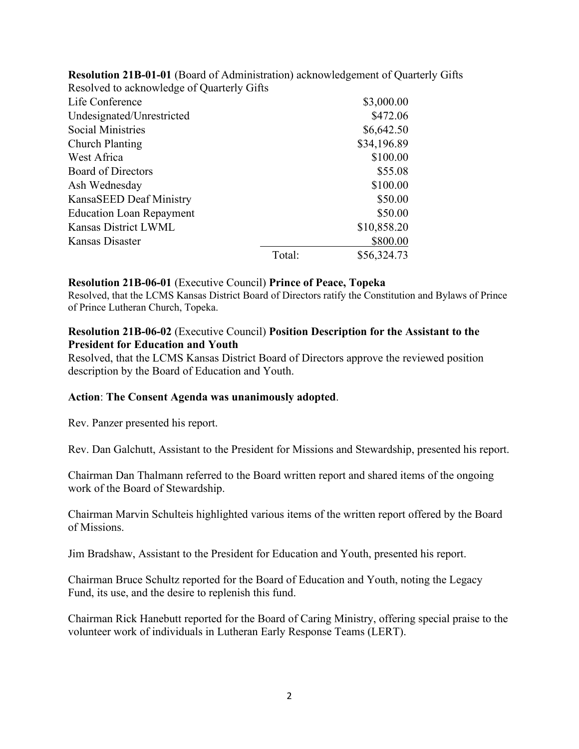| Resolved to acknowledge of Quarterly Gifts |            |             |
|--------------------------------------------|------------|-------------|
| Life Conference                            |            | \$3,000.00  |
| Undesignated/Unrestricted                  |            | \$472.06    |
| Social Ministries                          | \$6,642.50 |             |
| Church Planting                            |            | \$34,196.89 |
| West Africa                                |            | \$100.00    |
| <b>Board of Directors</b>                  |            | \$55.08     |
| Ash Wednesday                              |            | \$100.00    |
| KansaSEED Deaf Ministry                    |            | \$50.00     |
| <b>Education Loan Repayment</b>            |            | \$50.00     |
| Kansas District LWML                       |            | \$10,858.20 |
| Kansas Disaster                            |            | \$800.00    |
|                                            | Total:     | \$56,324.73 |

**Resolution 21B-01-01** (Board of Administration) acknowledgement of Quarterly Gifts

#### **Resolution 21B-06-01** (Executive Council) **Prince of Peace, Topeka**

Resolved, that the LCMS Kansas District Board of Directors ratify the Constitution and Bylaws of Prince of Prince Lutheran Church, Topeka.

### **Resolution 21B-06-02** (Executive Council) **Position Description for the Assistant to the President for Education and Youth**

Resolved, that the LCMS Kansas District Board of Directors approve the reviewed position description by the Board of Education and Youth.

#### **Action**: **The Consent Agenda was unanimously adopted**.

Rev. Panzer presented his report.

Rev. Dan Galchutt, Assistant to the President for Missions and Stewardship, presented his report.

Chairman Dan Thalmann referred to the Board written report and shared items of the ongoing work of the Board of Stewardship.

Chairman Marvin Schulteis highlighted various items of the written report offered by the Board of Missions.

Jim Bradshaw, Assistant to the President for Education and Youth, presented his report.

Chairman Bruce Schultz reported for the Board of Education and Youth, noting the Legacy Fund, its use, and the desire to replenish this fund.

Chairman Rick Hanebutt reported for the Board of Caring Ministry, offering special praise to the volunteer work of individuals in Lutheran Early Response Teams (LERT).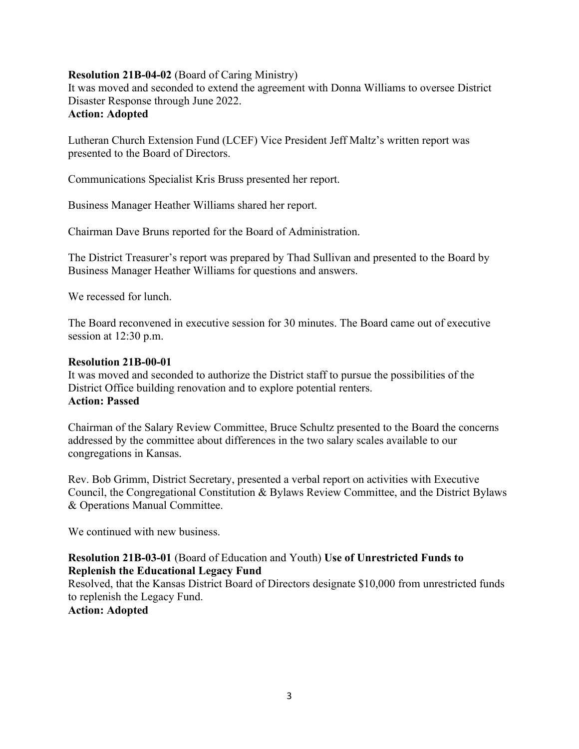## **Resolution 21B-04-02** (Board of Caring Ministry)

It was moved and seconded to extend the agreement with Donna Williams to oversee District Disaster Response through June 2022. **Action: Adopted**

Lutheran Church Extension Fund (LCEF) Vice President Jeff Maltz's written report was presented to the Board of Directors.

Communications Specialist Kris Bruss presented her report.

Business Manager Heather Williams shared her report.

Chairman Dave Bruns reported for the Board of Administration.

The District Treasurer's report was prepared by Thad Sullivan and presented to the Board by Business Manager Heather Williams for questions and answers.

We recessed for lunch.

The Board reconvened in executive session for 30 minutes. The Board came out of executive session at 12:30 p.m.

#### **Resolution 21B-00-01**

It was moved and seconded to authorize the District staff to pursue the possibilities of the District Office building renovation and to explore potential renters. **Action: Passed**

Chairman of the Salary Review Committee, Bruce Schultz presented to the Board the concerns addressed by the committee about differences in the two salary scales available to our congregations in Kansas.

Rev. Bob Grimm, District Secretary, presented a verbal report on activities with Executive Council, the Congregational Constitution & Bylaws Review Committee, and the District Bylaws & Operations Manual Committee.

We continued with new business.

## **Resolution 21B-03-01** (Board of Education and Youth) **Use of Unrestricted Funds to Replenish the Educational Legacy Fund**

Resolved, that the Kansas District Board of Directors designate \$10,000 from unrestricted funds to replenish the Legacy Fund.

**Action: Adopted**